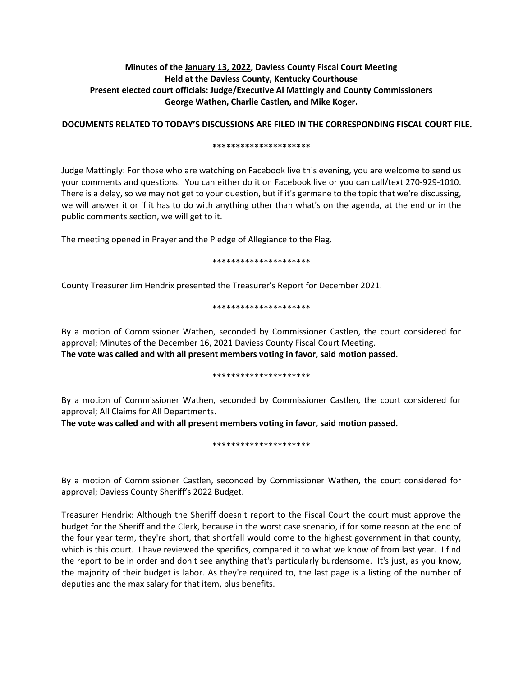# **Minutes of the January 13, 2022, Daviess County Fiscal Court Meeting Held at the Daviess County, Kentucky Courthouse Present elected court officials: Judge/Executive Al Mattingly and County Commissioners George Wathen, Charlie Castlen, and Mike Koger.**

## **DOCUMENTS RELATED TO TODAY'S DISCUSSIONS ARE FILED IN THE CORRESPONDING FISCAL COURT FILE.**

#### **\*\*\*\*\*\*\*\*\*\*\*\*\*\*\*\*\*\*\*\*\***

Judge Mattingly: For those who are watching on Facebook live this evening, you are welcome to send us your comments and questions. You can either do it on Facebook live or you can call/text 270-929-1010. There is a delay, so we may not get to your question, but if it's germane to the topic that we're discussing, we will answer it or if it has to do with anything other than what's on the agenda, at the end or in the public comments section, we will get to it.

The meeting opened in Prayer and the Pledge of Allegiance to the Flag.

### **\*\*\*\*\*\*\*\*\*\*\*\*\*\*\*\*\*\*\*\*\***

County Treasurer Jim Hendrix presented the Treasurer's Report for December 2021.

## **\*\*\*\*\*\*\*\*\*\*\*\*\*\*\*\*\*\*\*\*\***

By a motion of Commissioner Wathen, seconded by Commissioner Castlen, the court considered for approval; Minutes of the December 16, 2021 Daviess County Fiscal Court Meeting. **The vote was called and with all present members voting in favor, said motion passed.** 

#### **\*\*\*\*\*\*\*\*\*\*\*\*\*\*\*\*\*\*\*\*\***

By a motion of Commissioner Wathen, seconded by Commissioner Castlen, the court considered for approval; All Claims for All Departments.

**The vote was called and with all present members voting in favor, said motion passed.** 

## **\*\*\*\*\*\*\*\*\*\*\*\*\*\*\*\*\*\*\*\*\***

By a motion of Commissioner Castlen, seconded by Commissioner Wathen, the court considered for approval; Daviess County Sheriff's 2022 Budget.

Treasurer Hendrix: Although the Sheriff doesn't report to the Fiscal Court the court must approve the budget for the Sheriff and the Clerk, because in the worst case scenario, if for some reason at the end of the four year term, they're short, that shortfall would come to the highest government in that county, which is this court. I have reviewed the specifics, compared it to what we know of from last year. I find the report to be in order and don't see anything that's particularly burdensome. It's just, as you know, the majority of their budget is labor. As they're required to, the last page is a listing of the number of deputies and the max salary for that item, plus benefits.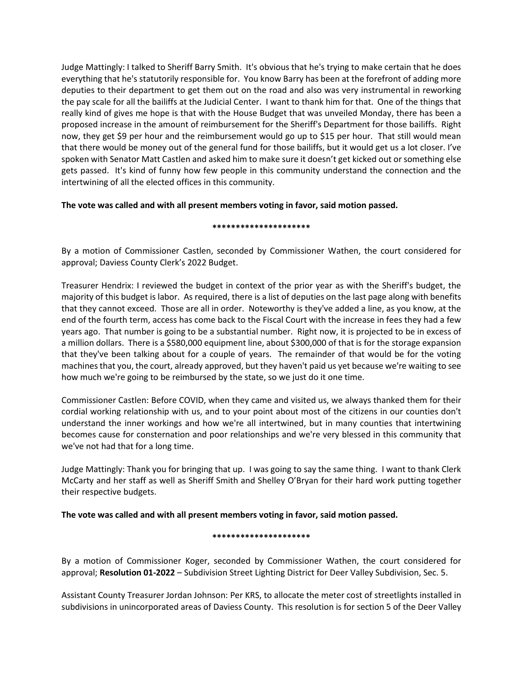Judge Mattingly: I talked to Sheriff Barry Smith. It's obvious that he's trying to make certain that he does everything that he's statutorily responsible for. You know Barry has been at the forefront of adding more deputies to their department to get them out on the road and also was very instrumental in reworking the pay scale for all the bailiffs at the Judicial Center. I want to thank him for that. One of the things that really kind of gives me hope is that with the House Budget that was unveiled Monday, there has been a proposed increase in the amount of reimbursement for the Sheriff's Department for those bailiffs. Right now, they get \$9 per hour and the reimbursement would go up to \$15 per hour. That still would mean that there would be money out of the general fund for those bailiffs, but it would get us a lot closer. I've spoken with Senator Matt Castlen and asked him to make sure it doesn't get kicked out or something else gets passed. It's kind of funny how few people in this community understand the connection and the intertwining of all the elected offices in this community.

# **The vote was called and with all present members voting in favor, said motion passed.**

## **\*\*\*\*\*\*\*\*\*\*\*\*\*\*\*\*\*\*\*\*\***

By a motion of Commissioner Castlen, seconded by Commissioner Wathen, the court considered for approval; Daviess County Clerk's 2022 Budget.

Treasurer Hendrix: I reviewed the budget in context of the prior year as with the Sheriff's budget, the majority of this budget is labor. As required, there is a list of deputies on the last page along with benefits that they cannot exceed. Those are all in order. Noteworthy is they've added a line, as you know, at the end of the fourth term, access has come back to the Fiscal Court with the increase in fees they had a few years ago. That number is going to be a substantial number. Right now, it is projected to be in excess of a million dollars. There is a \$580,000 equipment line, about \$300,000 of that is for the storage expansion that they've been talking about for a couple of years. The remainder of that would be for the voting machines that you, the court, already approved, but they haven't paid us yet because we're waiting to see how much we're going to be reimbursed by the state, so we just do it one time.

Commissioner Castlen: Before COVID, when they came and visited us, we always thanked them for their cordial working relationship with us, and to your point about most of the citizens in our counties don't understand the inner workings and how we're all intertwined, but in many counties that intertwining becomes cause for consternation and poor relationships and we're very blessed in this community that we've not had that for a long time.

Judge Mattingly: Thank you for bringing that up. I was going to say the same thing. I want to thank Clerk McCarty and her staff as well as Sheriff Smith and Shelley O'Bryan for their hard work putting together their respective budgets.

**The vote was called and with all present members voting in favor, said motion passed.** 

## **\*\*\*\*\*\*\*\*\*\*\*\*\*\*\*\*\*\*\*\*\***

By a motion of Commissioner Koger, seconded by Commissioner Wathen, the court considered for approval; **Resolution 01-2022** – Subdivision Street Lighting District for Deer Valley Subdivision, Sec. 5.

Assistant County Treasurer Jordan Johnson: Per KRS, to allocate the meter cost of streetlights installed in subdivisions in unincorporated areas of Daviess County. This resolution is for section 5 of the Deer Valley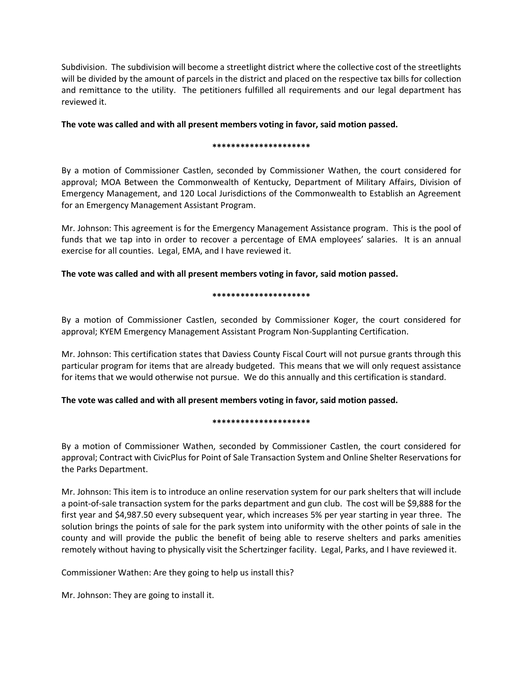Subdivision. The subdivision will become a streetlight district where the collective cost of the streetlights will be divided by the amount of parcels in the district and placed on the respective tax bills for collection and remittance to the utility. The petitioners fulfilled all requirements and our legal department has reviewed it.

# **The vote was called and with all present members voting in favor, said motion passed.**

## **\*\*\*\*\*\*\*\*\*\*\*\*\*\*\*\*\*\*\*\*\***

By a motion of Commissioner Castlen, seconded by Commissioner Wathen, the court considered for approval; MOA Between the Commonwealth of Kentucky, Department of Military Affairs, Division of Emergency Management, and 120 Local Jurisdictions of the Commonwealth to Establish an Agreement for an Emergency Management Assistant Program.

Mr. Johnson: This agreement is for the Emergency Management Assistance program. This is the pool of funds that we tap into in order to recover a percentage of EMA employees' salaries. It is an annual exercise for all counties. Legal, EMA, and I have reviewed it.

# **The vote was called and with all present members voting in favor, said motion passed.**

## **\*\*\*\*\*\*\*\*\*\*\*\*\*\*\*\*\*\*\*\*\***

By a motion of Commissioner Castlen, seconded by Commissioner Koger, the court considered for approval; KYEM Emergency Management Assistant Program Non-Supplanting Certification.

Mr. Johnson: This certification states that Daviess County Fiscal Court will not pursue grants through this particular program for items that are already budgeted. This means that we will only request assistance for items that we would otherwise not pursue. We do this annually and this certification is standard.

# **The vote was called and with all present members voting in favor, said motion passed.**

## **\*\*\*\*\*\*\*\*\*\*\*\*\*\*\*\*\*\*\*\*\***

By a motion of Commissioner Wathen, seconded by Commissioner Castlen, the court considered for approval; Contract with CivicPlus for Point of Sale Transaction System and Online Shelter Reservations for the Parks Department.

Mr. Johnson: This item is to introduce an online reservation system for our park shelters that will include a point-of-sale transaction system for the parks department and gun club. The cost will be \$9,888 for the first year and \$4,987.50 every subsequent year, which increases 5% per year starting in year three. The solution brings the points of sale for the park system into uniformity with the other points of sale in the county and will provide the public the benefit of being able to reserve shelters and parks amenities remotely without having to physically visit the Schertzinger facility. Legal, Parks, and I have reviewed it.

Commissioner Wathen: Are they going to help us install this?

Mr. Johnson: They are going to install it.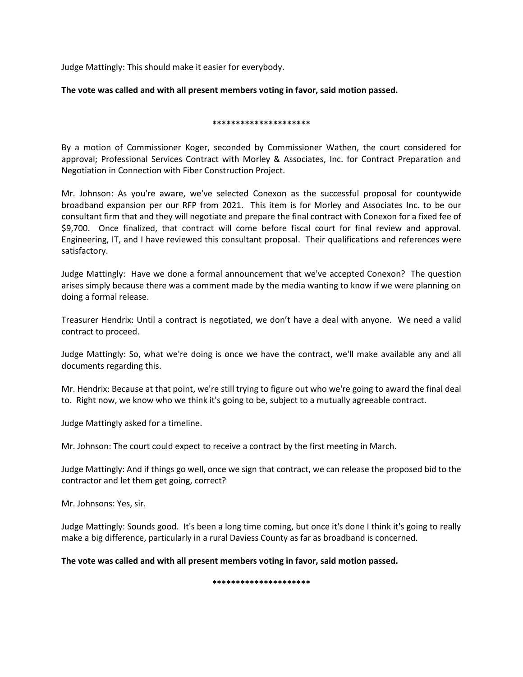Judge Mattingly: This should make it easier for everybody.

## **The vote was called and with all present members voting in favor, said motion passed.**

### **\*\*\*\*\*\*\*\*\*\*\*\*\*\*\*\*\*\*\*\*\***

By a motion of Commissioner Koger, seconded by Commissioner Wathen, the court considered for approval; Professional Services Contract with Morley & Associates, Inc. for Contract Preparation and Negotiation in Connection with Fiber Construction Project.

Mr. Johnson: As you're aware, we've selected Conexon as the successful proposal for countywide broadband expansion per our RFP from 2021. This item is for Morley and Associates Inc. to be our consultant firm that and they will negotiate and prepare the final contract with Conexon for a fixed fee of \$9,700. Once finalized, that contract will come before fiscal court for final review and approval. Engineering, IT, and I have reviewed this consultant proposal. Their qualifications and references were satisfactory.

Judge Mattingly: Have we done a formal announcement that we've accepted Conexon? The question arises simply because there was a comment made by the media wanting to know if we were planning on doing a formal release.

Treasurer Hendrix: Until a contract is negotiated, we don't have a deal with anyone. We need a valid contract to proceed.

Judge Mattingly: So, what we're doing is once we have the contract, we'll make available any and all documents regarding this.

Mr. Hendrix: Because at that point, we're still trying to figure out who we're going to award the final deal to. Right now, we know who we think it's going to be, subject to a mutually agreeable contract.

Judge Mattingly asked for a timeline.

Mr. Johnson: The court could expect to receive a contract by the first meeting in March.

Judge Mattingly: And if things go well, once we sign that contract, we can release the proposed bid to the contractor and let them get going, correct?

Mr. Johnsons: Yes, sir.

Judge Mattingly: Sounds good. It's been a long time coming, but once it's done I think it's going to really make a big difference, particularly in a rural Daviess County as far as broadband is concerned.

**The vote was called and with all present members voting in favor, said motion passed.** 

**\*\*\*\*\*\*\*\*\*\*\*\*\*\*\*\*\*\*\*\*\***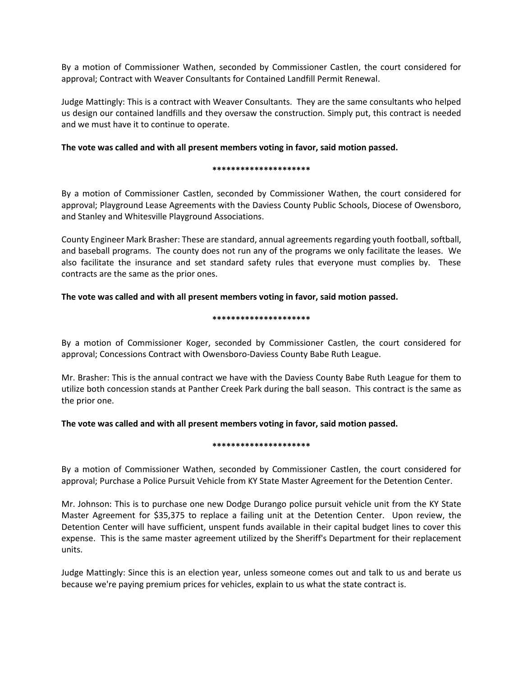By a motion of Commissioner Wathen, seconded by Commissioner Castlen, the court considered for approval; Contract with Weaver Consultants for Contained Landfill Permit Renewal.

Judge Mattingly: This is a contract with Weaver Consultants. They are the same consultants who helped us design our contained landfills and they oversaw the construction. Simply put, this contract is needed and we must have it to continue to operate.

## **The vote was called and with all present members voting in favor, said motion passed.**

#### **\*\*\*\*\*\*\*\*\*\*\*\*\*\*\*\*\*\*\*\*\***

By a motion of Commissioner Castlen, seconded by Commissioner Wathen, the court considered for approval; Playground Lease Agreements with the Daviess County Public Schools, Diocese of Owensboro, and Stanley and Whitesville Playground Associations.

County Engineer Mark Brasher: These are standard, annual agreements regarding youth football, softball, and baseball programs. The county does not run any of the programs we only facilitate the leases. We also facilitate the insurance and set standard safety rules that everyone must complies by. These contracts are the same as the prior ones.

## **The vote was called and with all present members voting in favor, said motion passed.**

### **\*\*\*\*\*\*\*\*\*\*\*\*\*\*\*\*\*\*\*\*\***

By a motion of Commissioner Koger, seconded by Commissioner Castlen, the court considered for approval; Concessions Contract with Owensboro-Daviess County Babe Ruth League.

Mr. Brasher: This is the annual contract we have with the Daviess County Babe Ruth League for them to utilize both concession stands at Panther Creek Park during the ball season. This contract is the same as the prior one.

**The vote was called and with all present members voting in favor, said motion passed.** 

## **\*\*\*\*\*\*\*\*\*\*\*\*\*\*\*\*\*\*\*\*\***

By a motion of Commissioner Wathen, seconded by Commissioner Castlen, the court considered for approval; Purchase a Police Pursuit Vehicle from KY State Master Agreement for the Detention Center.

Mr. Johnson: This is to purchase one new Dodge Durango police pursuit vehicle unit from the KY State Master Agreement for \$35,375 to replace a failing unit at the Detention Center. Upon review, the Detention Center will have sufficient, unspent funds available in their capital budget lines to cover this expense. This is the same master agreement utilized by the Sheriff's Department for their replacement units.

Judge Mattingly: Since this is an election year, unless someone comes out and talk to us and berate us because we're paying premium prices for vehicles, explain to us what the state contract is.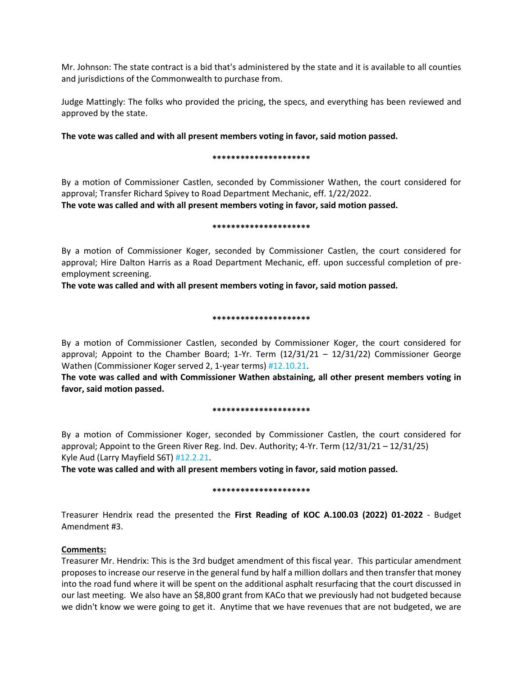Mr. Johnson: The state contract is a bid that's administered by the state and it is available to all counties and jurisdictions of the Commonwealth to purchase from.

Judge Mattingly: The folks who provided the pricing, the specs, and everything has been reviewed and approved by the state.

## **The vote was called and with all present members voting in favor, said motion passed.**

#### **\*\*\*\*\*\*\*\*\*\*\*\*\*\*\*\*\*\*\*\*\***

By a motion of Commissioner Castlen, seconded by Commissioner Wathen, the court considered for approval; Transfer Richard Spivey to Road Department Mechanic, eff. 1/22/2022.

**The vote was called and with all present members voting in favor, said motion passed.** 

### **\*\*\*\*\*\*\*\*\*\*\*\*\*\*\*\*\*\*\*\*\***

By a motion of Commissioner Koger, seconded by Commissioner Castlen, the court considered for approval; Hire Dalton Harris as a Road Department Mechanic, eff. upon successful completion of preemployment screening.

**The vote was called and with all present members voting in favor, said motion passed.** 

## **\*\*\*\*\*\*\*\*\*\*\*\*\*\*\*\*\*\*\*\*\***

By a motion of Commissioner Castlen, seconded by Commissioner Koger, the court considered for approval; Appoint to the Chamber Board; 1-Yr. Term  $(12/31/21 - 12/31/22)$  Commissioner George Wathen (Commissioner Koger served 2, 1-year terms) #12.10.21.

**The vote was called and with Commissioner Wathen abstaining, all other present members voting in favor, said motion passed.** 

#### **\*\*\*\*\*\*\*\*\*\*\*\*\*\*\*\*\*\*\*\*\***

By a motion of Commissioner Koger, seconded by Commissioner Castlen, the court considered for approval; Appoint to the Green River Reg. Ind. Dev. Authority; 4-Yr. Term (12/31/21 – 12/31/25) Kyle Aud (Larry Mayfield S6T) #12.2.21.

**The vote was called and with all present members voting in favor, said motion passed.** 

# **\*\*\*\*\*\*\*\*\*\*\*\*\*\*\*\*\*\*\*\*\***

Treasurer Hendrix read the presented the **First Reading of KOC A.100.03 (2022) 01-2022** - Budget Amendment #3.

# **Comments:**

Treasurer Mr. Hendrix: This is the 3rd budget amendment of this fiscal year. This particular amendment proposes to increase our reserve in the general fund by half a million dollars and then transfer that money into the road fund where it will be spent on the additional asphalt resurfacing that the court discussed in our last meeting. We also have an \$8,800 grant from KACo that we previously had not budgeted because we didn't know we were going to get it. Anytime that we have revenues that are not budgeted, we are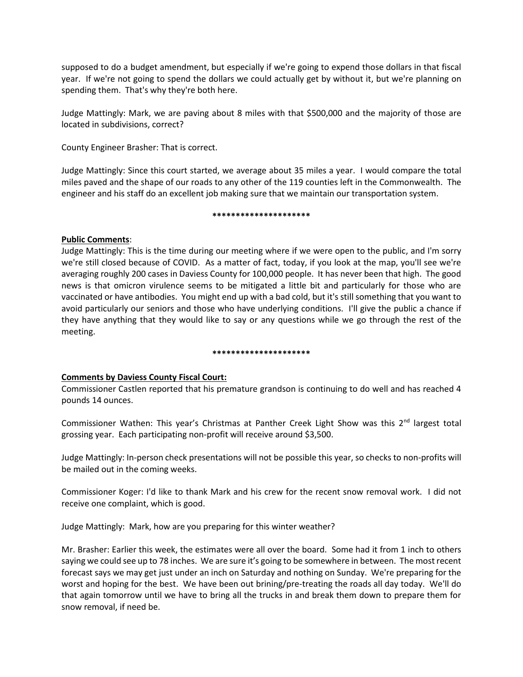supposed to do a budget amendment, but especially if we're going to expend those dollars in that fiscal year. If we're not going to spend the dollars we could actually get by without it, but we're planning on spending them. That's why they're both here.

Judge Mattingly: Mark, we are paving about 8 miles with that \$500,000 and the majority of those are located in subdivisions, correct?

County Engineer Brasher: That is correct.

Judge Mattingly: Since this court started, we average about 35 miles a year. I would compare the total miles paved and the shape of our roads to any other of the 119 counties left in the Commonwealth. The engineer and his staff do an excellent job making sure that we maintain our transportation system.

### **\*\*\*\*\*\*\*\*\*\*\*\*\*\*\*\*\*\*\*\*\***

## **Public Comments**:

Judge Mattingly: This is the time during our meeting where if we were open to the public, and I'm sorry we're still closed because of COVID. As a matter of fact, today, if you look at the map, you'll see we're averaging roughly 200 cases in Daviess County for 100,000 people. It has never been that high. The good news is that omicron virulence seems to be mitigated a little bit and particularly for those who are vaccinated or have antibodies. You might end up with a bad cold, but it's still something that you want to avoid particularly our seniors and those who have underlying conditions. I'll give the public a chance if they have anything that they would like to say or any questions while we go through the rest of the meeting.

#### **\*\*\*\*\*\*\*\*\*\*\*\*\*\*\*\*\*\*\*\*\***

# **Comments by Daviess County Fiscal Court:**

Commissioner Castlen reported that his premature grandson is continuing to do well and has reached 4 pounds 14 ounces.

Commissioner Wathen: This year's Christmas at Panther Creek Light Show was this 2<sup>nd</sup> largest total grossing year. Each participating non-profit will receive around \$3,500.

Judge Mattingly: In-person check presentations will not be possible this year, so checks to non-profits will be mailed out in the coming weeks.

Commissioner Koger: I'd like to thank Mark and his crew for the recent snow removal work. I did not receive one complaint, which is good.

Judge Mattingly: Mark, how are you preparing for this winter weather?

Mr. Brasher: Earlier this week, the estimates were all over the board. Some had it from 1 inch to others saying we could see up to 78 inches. We are sure it's going to be somewhere in between. The most recent forecast says we may get just under an inch on Saturday and nothing on Sunday. We're preparing for the worst and hoping for the best. We have been out brining/pre-treating the roads all day today. We'll do that again tomorrow until we have to bring all the trucks in and break them down to prepare them for snow removal, if need be.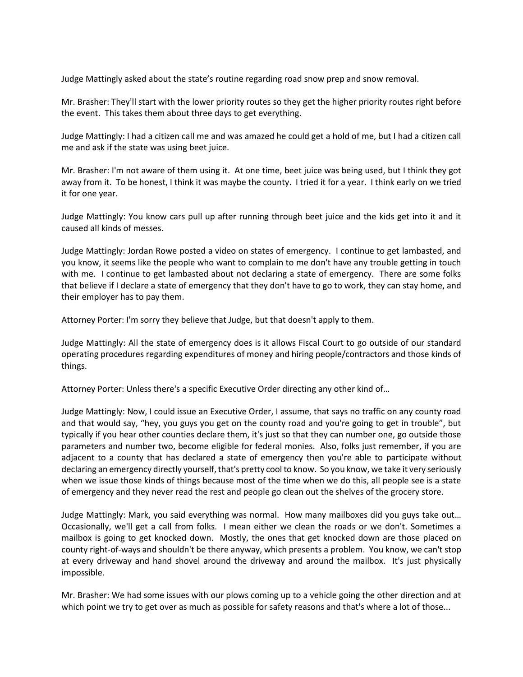Judge Mattingly asked about the state's routine regarding road snow prep and snow removal.

Mr. Brasher: They'll start with the lower priority routes so they get the higher priority routes right before the event. This takes them about three days to get everything.

Judge Mattingly: I had a citizen call me and was amazed he could get a hold of me, but I had a citizen call me and ask if the state was using beet juice.

Mr. Brasher: I'm not aware of them using it. At one time, beet juice was being used, but I think they got away from it. To be honest, I think it was maybe the county. I tried it for a year. I think early on we tried it for one year.

Judge Mattingly: You know cars pull up after running through beet juice and the kids get into it and it caused all kinds of messes.

Judge Mattingly: Jordan Rowe posted a video on states of emergency. I continue to get lambasted, and you know, it seems like the people who want to complain to me don't have any trouble getting in touch with me. I continue to get lambasted about not declaring a state of emergency. There are some folks that believe if I declare a state of emergency that they don't have to go to work, they can stay home, and their employer has to pay them.

Attorney Porter: I'm sorry they believe that Judge, but that doesn't apply to them.

Judge Mattingly: All the state of emergency does is it allows Fiscal Court to go outside of our standard operating procedures regarding expenditures of money and hiring people/contractors and those kinds of things.

Attorney Porter: Unless there's a specific Executive Order directing any other kind of…

Judge Mattingly: Now, I could issue an Executive Order, I assume, that says no traffic on any county road and that would say, "hey, you guys you get on the county road and you're going to get in trouble", but typically if you hear other counties declare them, it's just so that they can number one, go outside those parameters and number two, become eligible for federal monies. Also, folks just remember, if you are adjacent to a county that has declared a state of emergency then you're able to participate without declaring an emergency directly yourself, that's pretty cool to know. So you know, we take it very seriously when we issue those kinds of things because most of the time when we do this, all people see is a state of emergency and they never read the rest and people go clean out the shelves of the grocery store.

Judge Mattingly: Mark, you said everything was normal. How many mailboxes did you guys take out… Occasionally, we'll get a call from folks. I mean either we clean the roads or we don't. Sometimes a mailbox is going to get knocked down. Mostly, the ones that get knocked down are those placed on county right-of-ways and shouldn't be there anyway, which presents a problem. You know, we can't stop at every driveway and hand shovel around the driveway and around the mailbox. It's just physically impossible.

Mr. Brasher: We had some issues with our plows coming up to a vehicle going the other direction and at which point we try to get over as much as possible for safety reasons and that's where a lot of those...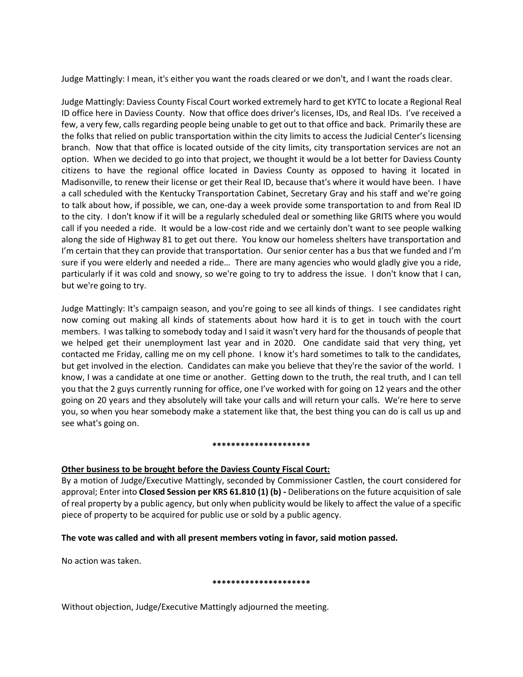Judge Mattingly: I mean, it's either you want the roads cleared or we don't, and I want the roads clear.

Judge Mattingly: Daviess County Fiscal Court worked extremely hard to get KYTC to locate a Regional Real ID office here in Daviess County. Now that office does driver's licenses, IDs, and Real IDs. I've received a few, a very few, calls regarding people being unable to get out to that office and back. Primarily these are the folks that relied on public transportation within the city limits to access the Judicial Center's licensing branch. Now that that office is located outside of the city limits, city transportation services are not an option. When we decided to go into that project, we thought it would be a lot better for Daviess County citizens to have the regional office located in Daviess County as opposed to having it located in Madisonville, to renew their license or get their Real ID, because that's where it would have been. I have a call scheduled with the Kentucky Transportation Cabinet, Secretary Gray and his staff and we're going to talk about how, if possible, we can, one-day a week provide some transportation to and from Real ID to the city. I don't know if it will be a regularly scheduled deal or something like GRITS where you would call if you needed a ride. It would be a low-cost ride and we certainly don't want to see people walking along the side of Highway 81 to get out there. You know our homeless shelters have transportation and I'm certain that they can provide that transportation. Our senior center has a bus that we funded and I'm sure if you were elderly and needed a ride… There are many agencies who would gladly give you a ride, particularly if it was cold and snowy, so we're going to try to address the issue. I don't know that I can, but we're going to try.

Judge Mattingly: It's campaign season, and you're going to see all kinds of things. I see candidates right now coming out making all kinds of statements about how hard it is to get in touch with the court members. I was talking to somebody today and I said it wasn't very hard for the thousands of people that we helped get their unemployment last year and in 2020. One candidate said that very thing, yet contacted me Friday, calling me on my cell phone. I know it's hard sometimes to talk to the candidates, but get involved in the election. Candidates can make you believe that they're the savior of the world. I know, I was a candidate at one time or another. Getting down to the truth, the real truth, and I can tell you that the 2 guys currently running for office, one I've worked with for going on 12 years and the other going on 20 years and they absolutely will take your calls and will return your calls. We're here to serve you, so when you hear somebody make a statement like that, the best thing you can do is call us up and see what's going on.

#### **\*\*\*\*\*\*\*\*\*\*\*\*\*\*\*\*\*\*\*\*\***

# **Other business to be brought before the Daviess County Fiscal Court:**

By a motion of Judge/Executive Mattingly, seconded by Commissioner Castlen, the court considered for approval; Enter into **Closed Session per KRS 61.810 (1) (b) -** Deliberations on the future acquisition of sale of real property by a public agency, but only when publicity would be likely to affect the value of a specific piece of property to be acquired for public use or sold by a public agency.

# **The vote was called and with all present members voting in favor, said motion passed.**

No action was taken.

## **\*\*\*\*\*\*\*\*\*\*\*\*\*\*\*\*\*\*\*\*\***

Without objection, Judge/Executive Mattingly adjourned the meeting.